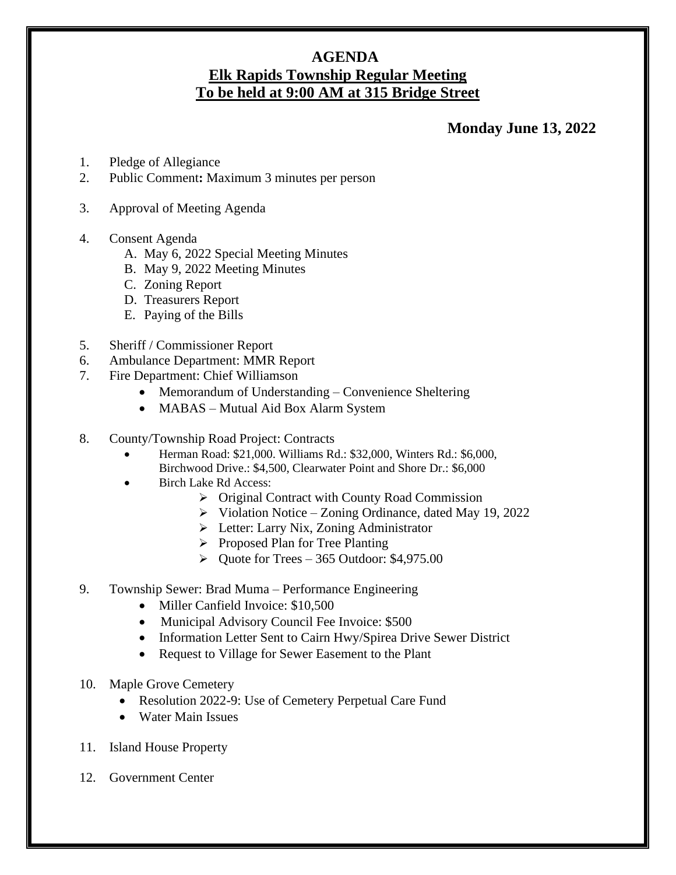## **AGENDA Elk Rapids Township Regular Meeting To be held at 9:00 AM at 315 Bridge Street**

## **Monday June 13, 2022**

- 1. Pledge of Allegiance
- 2. Public Comment**:** Maximum 3 minutes per person
- 3. Approval of Meeting Agenda
- 4. Consent Agenda
	- A. May 6, 2022 Special Meeting Minutes
	- B. May 9, 2022 Meeting Minutes
	- C. Zoning Report
	- D. Treasurers Report
	- E. Paying of the Bills
- 5. Sheriff / Commissioner Report
- 6. Ambulance Department: MMR Report
- 7. Fire Department: Chief Williamson
	- Memorandum of Understanding Convenience Sheltering
	- MABAS Mutual Aid Box Alarm System
- 8. County/Township Road Project: Contracts
	- Herman Road: \$21,000. Williams Rd.: \$32,000, Winters Rd.: \$6,000, Birchwood Drive.: \$4,500, Clearwater Point and Shore Dr.: \$6,000
	- Birch Lake Rd Access:
		- ➢ Original Contract with County Road Commission
		- ➢ Violation Notice Zoning Ordinance, dated May 19, 2022
		- ➢ Letter: Larry Nix, Zoning Administrator
		- ➢ Proposed Plan for Tree Planting
		- $\blacktriangleright$  Quote for Trees 365 Outdoor: \$4,975.00
- 9. Township Sewer: Brad Muma Performance Engineering
	- Miller Canfield Invoice: \$10,500
	- Municipal Advisory Council Fee Invoice: \$500
	- Information Letter Sent to Cairn Hwy/Spirea Drive Sewer District
	- Request to Village for Sewer Easement to the Plant
- 10. Maple Grove Cemetery
	- Resolution 2022-9: Use of Cemetery Perpetual Care Fund
	- Water Main Issues
- 11. Island House Property
- 12. Government Center